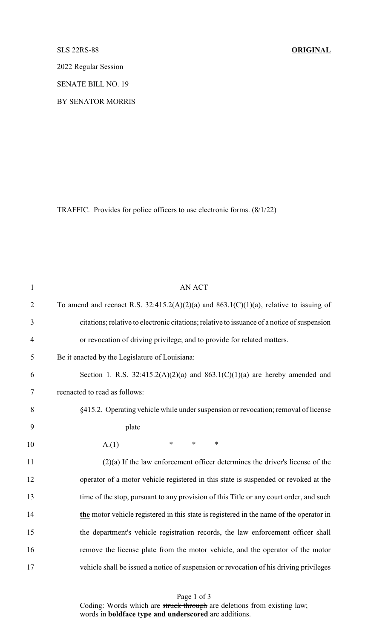## SLS 22RS-88 **ORIGINAL**

2022 Regular Session

SENATE BILL NO. 19

BY SENATOR MORRIS

TRAFFIC. Provides for police officers to use electronic forms. (8/1/22)

| $\mathbf{1}$   | <b>AN ACT</b>                                                                               |
|----------------|---------------------------------------------------------------------------------------------|
| $\overline{2}$ | To amend and reenact R.S. 32:415.2(A)(2)(a) and 863.1(C)(1)(a), relative to issuing of      |
| 3              | citations; relative to electronic citations; relative to issuance of a notice of suspension |
| $\overline{4}$ | or revocation of driving privilege; and to provide for related matters.                     |
| 5              | Be it enacted by the Legislature of Louisiana:                                              |
| 6              | Section 1. R.S. $32:415.2(A)(2)(a)$ and $863.1(C)(1)(a)$ are hereby amended and             |
| $\tau$         | reenacted to read as follows:                                                               |
| 8              | §415.2. Operating vehicle while under suspension or revocation; removal of license          |
| 9              | plate                                                                                       |
| 10             | $\ast$<br>$\ast$<br>$\ast$<br>A(1)                                                          |
| 11             | $(2)(a)$ If the law enforcement officer determines the driver's license of the              |
| 12             | operator of a motor vehicle registered in this state is suspended or revoked at the         |
| 13             | time of the stop, pursuant to any provision of this Title or any court order, and such      |
| 14             | the motor vehicle registered in this state is registered in the name of the operator in     |
| 15             | the department's vehicle registration records, the law enforcement officer shall            |
| 16             | remove the license plate from the motor vehicle, and the operator of the motor              |
| 17             | vehicle shall be issued a notice of suspension or revocation of his driving privileges      |

Page 1 of 3 Coding: Words which are struck through are deletions from existing law; words in **boldface type and underscored** are additions.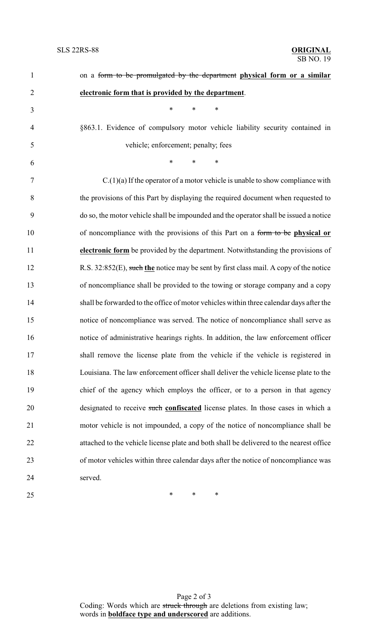| 1              | on a form to be promulgated by the department physical form or a similar                |
|----------------|-----------------------------------------------------------------------------------------|
| $\overline{2}$ | electronic form that is provided by the department.                                     |
| 3              | *<br>$\ast$<br>*                                                                        |
| $\overline{4}$ | §863.1. Evidence of compulsory motor vehicle liability security contained in            |
| 5              | vehicle; enforcement; penalty; fees                                                     |
| 6              | $\ast$<br>$\ast$<br>$\ast$                                                              |
| 7              | $C(1)(a)$ If the operator of a motor vehicle is unable to show compliance with          |
| 8              | the provisions of this Part by displaying the required document when requested to       |
| 9              | do so, the motor vehicle shall be impounded and the operator shall be issued a notice   |
| 10             | of noncompliance with the provisions of this Part on a form to be physical or           |
| 11             | electronic form be provided by the department. Notwithstanding the provisions of        |
| 12             | R.S. 32:852(E), such the notice may be sent by first class mail. A copy of the notice   |
| 13             | of noncompliance shall be provided to the towing or storage company and a copy          |
| 14             | shall be forwarded to the office of motor vehicles within three calendar days after the |
| 15             | notice of noncompliance was served. The notice of noncompliance shall serve as          |
| 16             | notice of administrative hearings rights. In addition, the law enforcement officer      |
| 17             | shall remove the license plate from the vehicle if the vehicle is registered in         |
| 18             | Louisiana. The law enforcement officer shall deliver the vehicle license plate to the   |
| 19             | chief of the agency which employs the officer, or to a person in that agency            |
| 20             | designated to receive such confiscated license plates. In those cases in which a        |
| 21             | motor vehicle is not impounded, a copy of the notice of noncompliance shall be          |
| 22             | attached to the vehicle license plate and both shall be delivered to the nearest office |
| 23             | of motor vehicles within three calendar days after the notice of noncompliance was      |
| 24             | served.                                                                                 |
| 25             | $\ast$<br>∗<br>∗                                                                        |